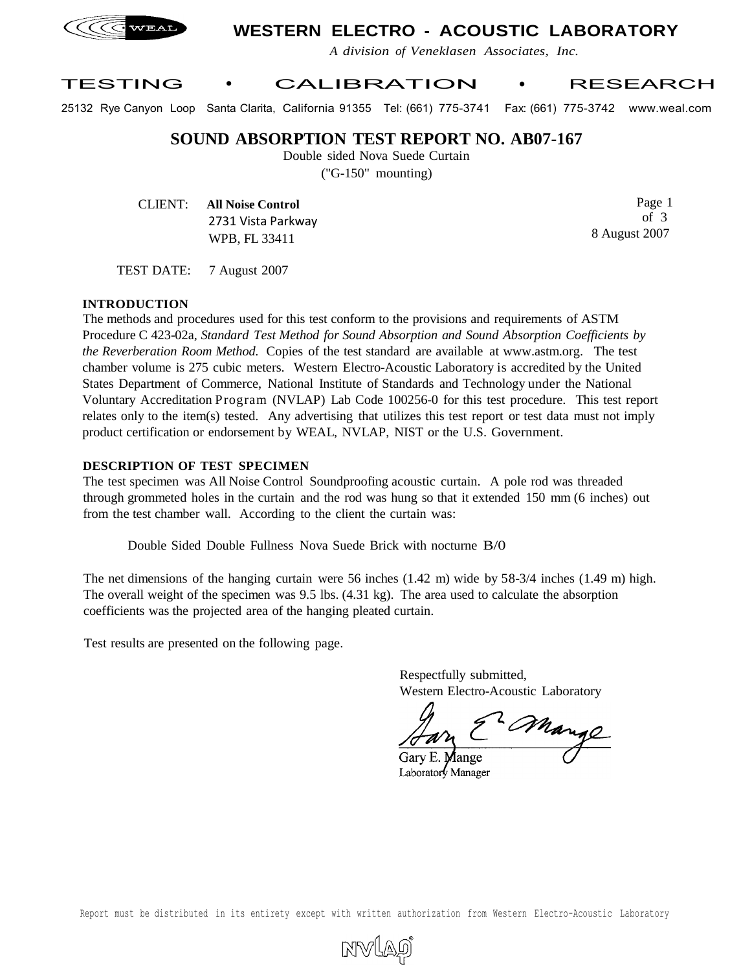

# **WESTERN ELECTRO - ACOUSTIC LABORATORY**

*A division of Veneklasen Associates, Inc.*

### TESTING • CALIBRATION • RESEARCH

25132 Rye Canyon Loop Santa Clarita, California 91355 Tel: (661) 775-3741 Fax: (661) 775-3742 www.weal.com

**SOUND ABSORPTION TEST REPORT NO. AB07-167**

Double sided Nova Suede Curtain

("G-150" mounting)

CLIENT: **All Noise Control** 2731 Vista Parkway WPB, FL 33411

Page 1 of 3 8 August 2007

TEST DATE: 7 August 2007

#### **INTRODUCTION**

The methods and procedures used for this test conform to the provisions and requirements of ASTM Procedure C 423-02a, *Standard Test Method for Sound Absorption and Sound Absorption Coefficients by the Reverberation Room Method.* Copies of the test standard are available at www.astm.org. The test chamber volume is 275 cubic meters. Western Electro-Acoustic Laboratory is accredited by the United States Department of Commerce, National Institute of Standards and Technology under the National Voluntary Accreditation Program (NVLAP) Lab Code 100256-0 for this test procedure. This test report relates only to the item(s) tested. Any advertising that utilizes this test report or test data must not imply product certification or endorsement by WEAL, NVLAP, NIST or the U.S. Government.

#### **DESCRIPTION OF TEST SPECIMEN**

The test specimen was All Noise Control Soundproofing acoustic curtain. A pole rod was threaded through grommeted holes in the curtain and the rod was hung so that it extended 150 mm (6 inches) out from the test chamber wall. According to the client the curtain was:

Double Sided Double Fullness Nova Suede Brick with nocturne B/0

The net dimensions of the hanging curtain were 56 inches (1.42 m) wide by 58-3/4 inches (1.49 m) high. The overall weight of the specimen was 9.5 lbs. (4.31 kg). The area used to calculate the absorption coefficients was the projected area of the hanging pleated curtain.

Test results are presented on the following page.

Respectfully submitted, Western Electro-Acoustic Laboratory

2 Mange

Garv E. **Mange** Laboratory Manager

Report must be distributed in its entirety except with written authorization from Western Electro-Acoustic Laboratory

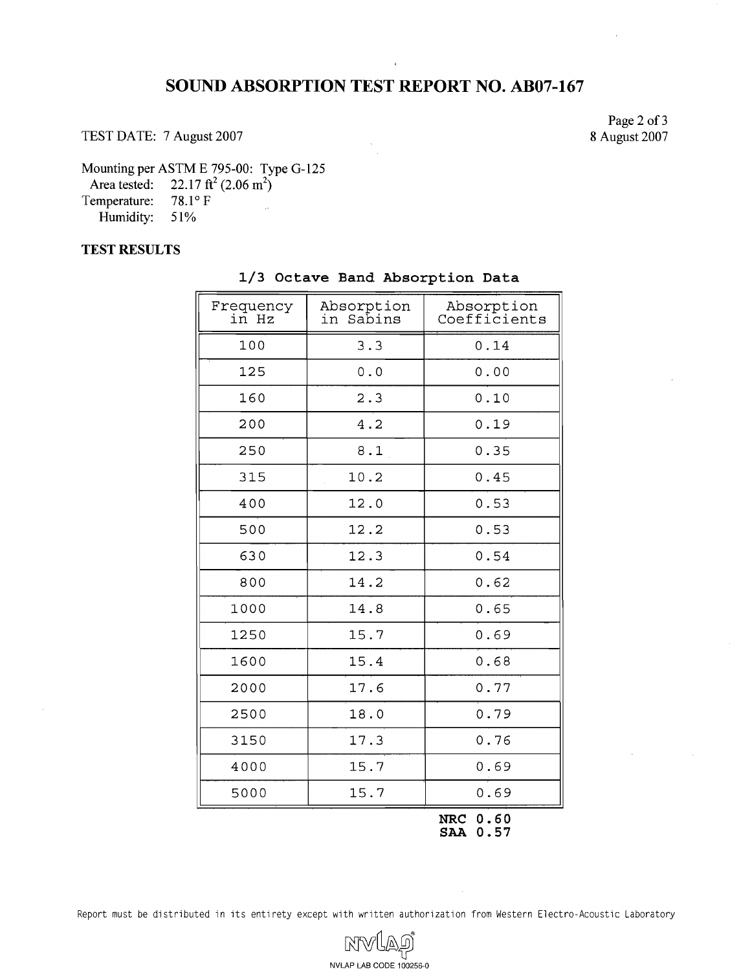## **SOUND ABSORPTION TEST REPORT NO. AB07-167**

TEST DATE: 7 August 2007

Page 2 of **3**  8 August 2007

Mounting per ASTM E 795-00: Type G-125

Area tested:  $22.17 \text{ ft}^2 (2.06 \text{ m}^2)$ 

Temperature:  $78.1^{\circ}$  F Humidity: 51%

### **TEST RESULTS**

| Frequency<br>in Hz | Absorption<br>Sabins<br>in | Absorption<br>Coefficients |
|--------------------|----------------------------|----------------------------|
| 100                | 3.3                        | 0.14                       |
| 125                | $0.0$                      | 0.00                       |
| 160                | 2.3                        | 0.10                       |
| 200                | 4.2                        | 0.19                       |
| 250                | 8.1                        | 0.35                       |
| 315                | 10.2                       | 0.45                       |
| 400                | 12.0                       | 0.53                       |
| 500                | 12.2                       | 0.53                       |
| 630                | 12.3                       | 0.54                       |
| 800                | 14.2                       | 0.62                       |
| 1000               | 14.8                       | 0.65                       |
| 1250               | 15.7                       | 0.69                       |
| 1600               | 15.4                       | 0.68                       |
| 2000               | 17.6                       | 0.77                       |
| 2500               | 18.0                       | 0.79                       |
| 3150               | 17.3                       | 0.76                       |
| 4000               | 15.7                       | 0.69                       |
| 5000               | 15.7                       | 0.69                       |

**1/3 Octave Band Absorption Data** 

**NRC 0.60 SAA 0.57** 

Report must be distributed in its entirety except with written authorization from Western Electro-Acoustic Laboratory